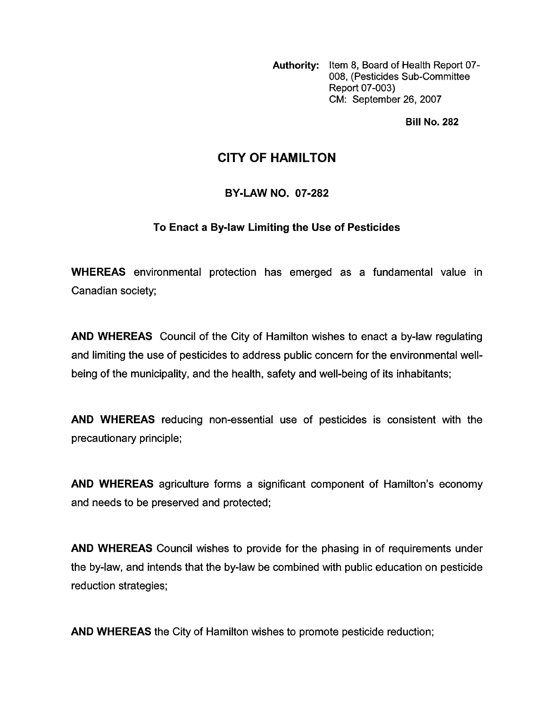Authority: Item 8, Board of Health Report 07-008, (Pesticides Sub-committee Report 07-003) CM: September 26, 2007

**Bill No. 282** 

# **CITY OF HAMILTON**

### **BY-LAW NO. 07-282**

### To Enact a By-law Limiting the Use of Pesticides

WHEREAS environmental protection has emerged as a fundamental value in Canadian society;

**AND WHEREAS** Council of the City of Hamilton wishes to enact a by-law regulating and limiting the use of pesticides to address public concern for the environmental wellbeing of the municipality, and the health, safety and well-being of its inhabitants;

**AND WHEREAS** reducing non-essential use of pesticides is consistent with the precautionary principle;

**AND WHEREAS** agriculture forms a significant component of Hamilton's economy and needs to be preserved and protected;

**AND WHEREAS** Council wishes to provide for the phasing in of requirements under the by-law, and intends that the by-law be combined with public education on pesticide reduction strategies;

**AND WHEREAS** the City of Hamilton wishes to promote pesticide reduction;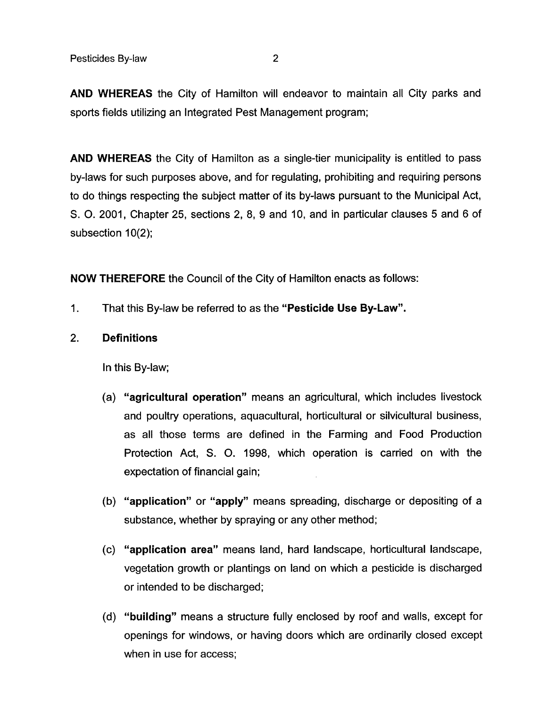**AND WHEREAS** the City of Hamilton will endeavor to maintain all City parks and sports fields utilizing an Integrated Pest Management program;

**AND WHEREAS** the City of Hamilton as a single-tier municipality is entitled to pass by-laws for such purposes above, and for regulating, prohibiting and requiring persons to do things respecting the subject matter of its by-laws pursuant to the Municipal Act, S. 0. 2001, Chapter 25, sections 2, 8, 9 and 10, and in particular clauses 5 and 6 of subsection  $10(2)$ ;

**NOW THEREFORE** the Council of the City of Hamilton enacts as follows:

- 1. That this By-law be referred to as the **"Pesticide Use By-Law".**
- 2. **Definitions**

In this By-law;

- (a) **"agricultural operation"** means an agricultural, which includes livestock and poultry operations, aquacultural, horticultural or silvicultural business, as all those terms are defined in the Farming and Food Production Protection Act, S. 0. 1998, which operation is carried on with the expectation of financial gain;
- (b) **"application"** or **"apply"** means spreading, discharge or depositing of a substance, whether by spraying or any other method;
- (c) **"application area"** means land, hard landscape, horticultural landscape, vegetation growth or plantings on land on which a pesticide is discharged or intended to be discharged;
- (d) **"building"** means a structure fully enclosed by roof and walls, except for openings for windows, or having doors which are ordinarily closed except when in use for access;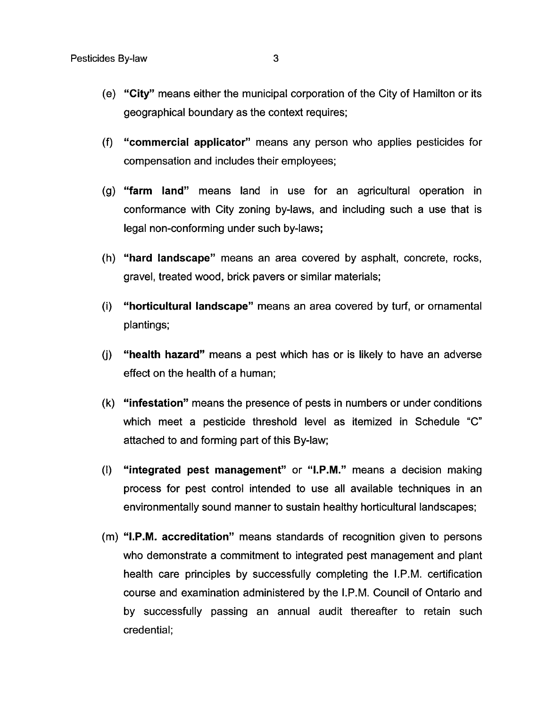- **"City"** means either the municipal corporation of the City of Hamilton or its geographical boundary as the context requires;
- **"commercial applicator"** means any person who applies pesticides for compensation and includes their employees;
- **"farm land"** means land in use for an agricultural operation in conformance with City zoning by-laws, and including such a use that is legal non-conforming under such by-laws;
- **"hard landscape"** means an area covered by asphalt, concrete, rocks, gravel, treated wood, brick pavers or similar materials;
- **"horticultural landscape"** means an area covered by turf, or ornamental  $(i)$ plantings;
- **"health hazard"** means a pest which has or is likely to have an adverse  $(i)$ effect on the health of a human;
- **"infestation"** means the presence of pests in numbers or under conditions which meet a pesticide threshold level as itemized in Schedule "C" attached to and forming part of this By-law;
- $(1)$ **"integrated pest management"** or **"I.P.M."** means a decision making process for pest control intended to use all available techniques in an environmentally sound manner to sustain healthy horticultural landscapes;
- (m) **"I.P.M. accreditation"** means standards of recognition given to persons who demonstrate a commitment to integrated pest management and plant health care principles by successfully completing the I.P.M. certification course and examination administered by the I.P.M. Council of Ontario and by successfully passing an annual audit thereafter to retain such credential;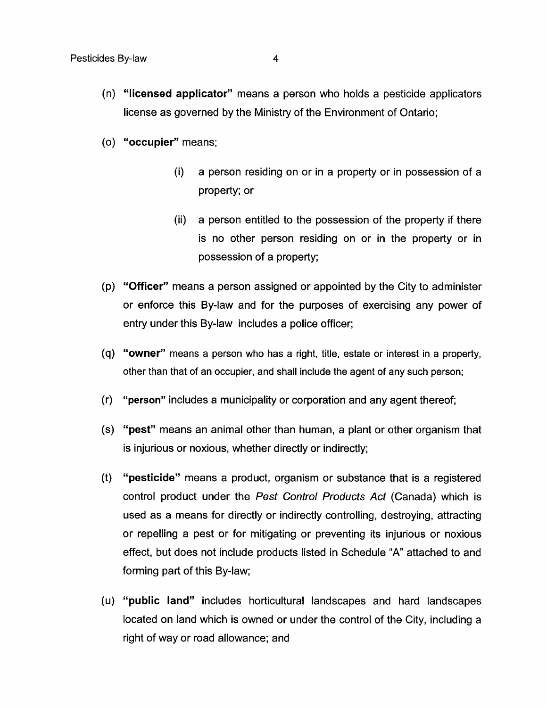- **"licensed applicator"** means a person who holds a pesticide applicators license as governed by the Ministry of the Environment of Ontario;
- **"occupier"** means;
	- (i) a person residing on or in a property or in possession of a property; or
	- (ii) a person entitled to the possession of the property if there is no other person residing on or in the property or in possession of a property;
- **"Officer"** means a person assigned or appointed by the City to administer or enforce this By-law and for the purposes of exercising any power of entry under this By-law includes a police officer;
- **"owner"** means a person who has a right, title, estate or interest in a property, other than that of an occupier, and shall include the agent of any such person;
- **"person"** includes a municipality or corporation and any agent thereof;  $(r)$
- **"pest"** means an animal other than human, a plant or other organism that is injurious or noxious, whether directly or indirectly;
- **"pesticide"** means a product, organism or substance that is a registered  $(t)$ control product under the *Pest Control Products Act* (Canada) which is used as a means for directly or indirectly controlling, destroying, attracting or repelling a pest or for mitigating or preventing its injurious or noxious effect, but does not include products listed in Schedule "A" attached to and forming part of this By-law;
- **"public land"** includes horticultural landscapes and hard landscapes located on land which is owned or under the control of the City, including a right of way or road allowance; and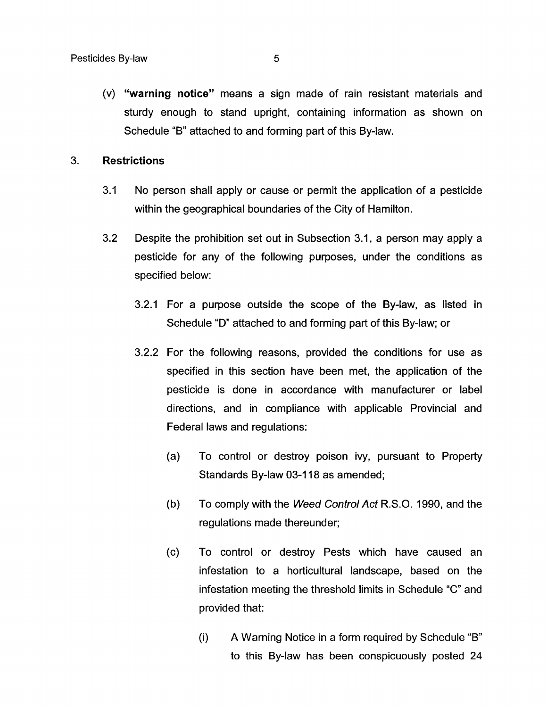(v) **"warning notice"** means a sign made of rain resistant materials and sturdy enough to stand upright, containing information as shown on Schedule "B" attached to and forming part of this By-law.

#### 3. **Restrictions**

- 3.1 No person shall apply or cause or permit the application of a pesticide within the geographical boundaries of the City of Hamilton.
- 3.2 Despite the prohibition set out in Subsection 3.1, a person may apply a pesticide for any of the following purposes, under the conditions as specified below:
	- 3.2.1 For a purpose outside the scope of the By-law, as listed in Schedule "D" attached to and forming part of this By-law; or
	- 3.2.2 For the following reasons, provided the conditions for use as specified in this section have been met, the application of the pesticide is done in accordance with manufacturer or label directions, and in compliance with applicable Provincial and Federal laws and regulations:
		- $(a)$ To control or destroy poison ivy, pursuant to Property Standards By-law 03-1 18 as amended;
		- $(b)$ To comply with the *Weed Confrol Act* R.S.O. 1990, and the regulations made thereunder;
		- $(c)$ To control or destroy Pests which have caused an infestation to a horticultural landscape, based on the infestation meeting the threshold limits in Schedule "C" and provided that:
			- (i) **A** Warning Notice in a form required by Schedule "B" to this By-law has been conspicuously posted 24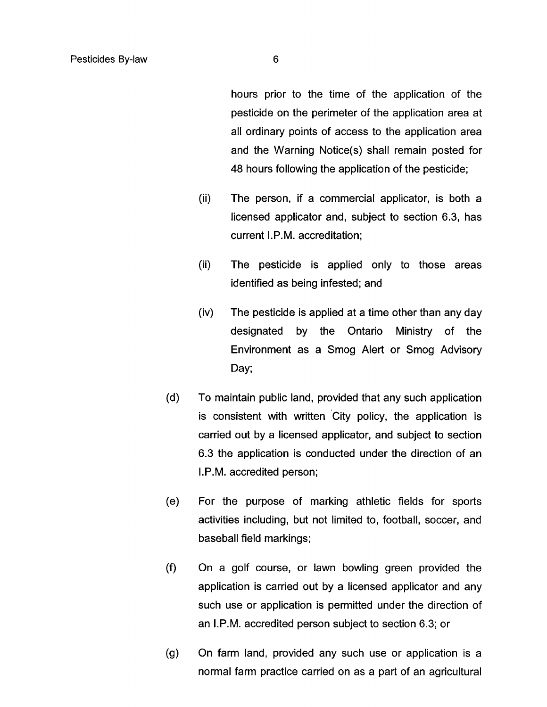hours prior to the time of the application of the pesticide on the perimeter of the application area at all ordinary points of access to the application area and the Warning Notice(s) shall remain posted for **48** hours following the application of the pesticide;

- (ii) The person, if a commercial applicator, is both a licensed applicator and, subject to section 6.3, has current I.P.M. accreditation;
- (ii) The pesticide is applied only to those areas identified as being infested; and
- $(iv)$ The pesticide is applied at a time other than any day designated by the Ontario Ministry of the Environment as a Smog Alert or Smog Advisory Day;
- $(d)$ To maintain public land, provided that any such application is consistent with written City policy, the application is carried out by a licensed applicator, and subject to section 6.3 the application is conducted under the direction of an I.P.M. accredited person;
- $(e)$ For the purpose of marking athletic fields for sports activities including, but not limited to, football, soccer, and baseball field markings;
- $(f)$ On a golf course, or lawn bowling green provided the application is carried out by a licensed applicator and any such use or application is permitted under the direction of an I.P.M. accredited person subject to section 6.3; or
- On farm land, provided any such use or application is a  $(g)$ normal farm practice carried on as a part of an agricultural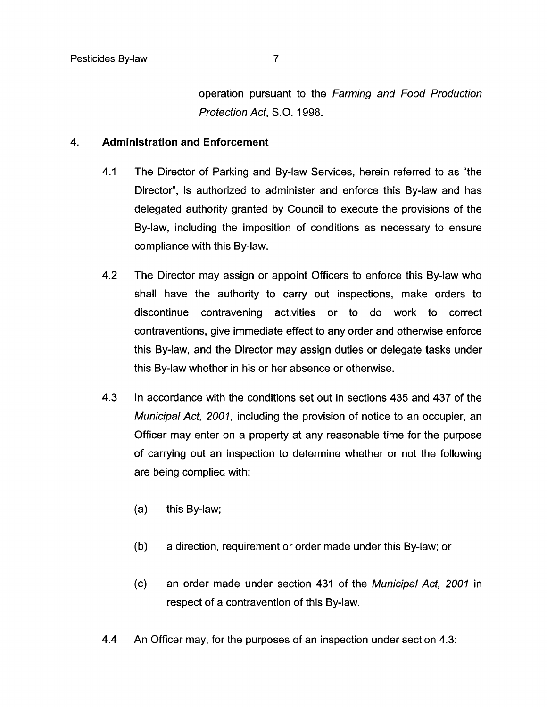operation pursuant to the *Farming and Food Production Profecfion Act, S.O.* 1998.

### 4. **Administration and Enforcement**

- 4.1 The Director of Parking and By-law Services, herein referred to as "the Director", is authorized to administer and enforce this By-law and has delegated authority granted by Council to execute the provisions of the By-law, including the imposition of conditions as necessary to ensure compliance with this By-law.
- 4.2 The Director may assign or appoint Officers to enforce this By-law who shall have the authority to carry out inspections, make orders to discontinue contravening activities or to do work to correct contraventions, give immediate effect to any order and otherwise enforce this By-law, and the Director may assign duties or delegate tasks under this By-law whether in his or her absence or otherwise.
- 4.3 In accordance with the conditions set out in sections 435 and 437 of the *Municipal Act, 2001,* including the provision of notice to an occupier, an Officer may enter on a property at any reasonable time for the purpose of carrying out an inspection to determine whether or not the following are being complied with:
	- (a) this By-law;
	- (b) a direction, requirement or order made under this By-law; or
	- (c) an order made under section 431 of the *Municipal Act, 2001* in respect of a contravention of this By-law.
- 4.4 An Officer may, for the purposes of an inspection under section 4.3: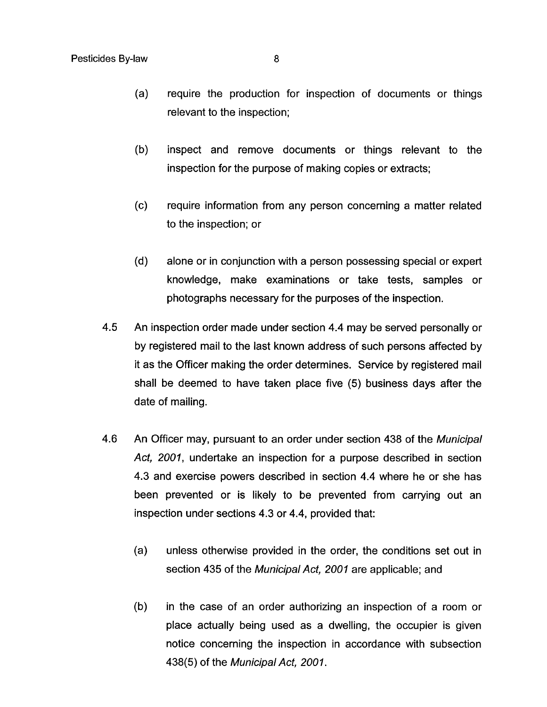- $(a)$ require the production for inspection of documents or things relevant to the inspection;
- $(b)$ inspect and remove documents or things relevant to the inspection for the purpose of making copies or extracts;
- $(c)$ require information from any person concerning a matter related to the inspection; or
- $(d)$ alone or in conjunction with a person possessing special or expert knowledge, make examinations or take tests, samples or photographs necessary for the purposes of the inspection.
- **4.5**  An inspection order made under section **4.4** may be served personally or by registered mail to the last known address of such persons affected by it as the Officer making the order determines. Service by registered mail shall be deemed to have taken place five (5) business days after the date of mailing.
- **4.6**  An Officer may, pursuant to an order under section **438** of the *Municipal Act, 2001,* undertake an inspection for a purpose described in section **4.3** and exercise powers described in section **4.4** where he or she has been prevented or is likely to be prevented from carrying out an inspection under sections **4.3** or **4.4,** provided that:
	- (a) unless otherwise provided in the order, the conditions set out in section **435** of the *Municipal Act, 2001* are applicable; and
	- (b) in the case of an order authorizing an inspection of a room or place actually being used as a dwelling, the occupier is given notice concerning the inspection in accordance with subsection **438(5)** of the *MunicipalAct, 2001.*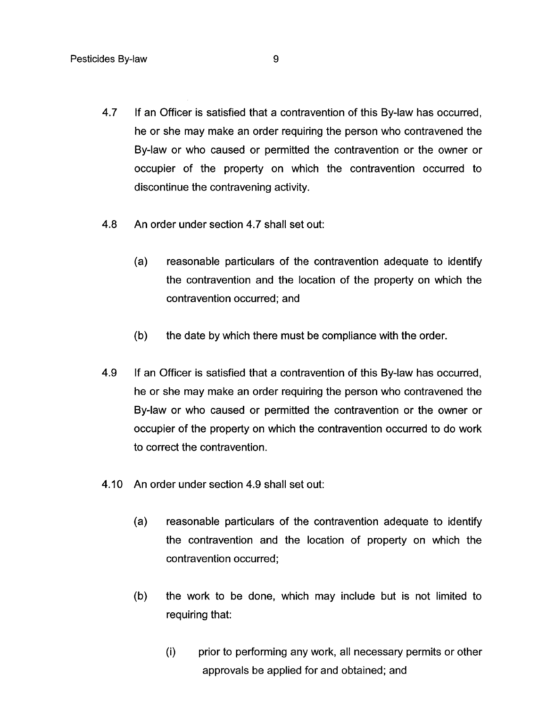- **4.7** If an Officer is satisfied that a contravention of this By-law has occurred, he or she may make an order requiring the person who contravened the By-law or who caused or permitted the contravention or the owner or occupier of the property on which the contravention occurred to discontinue the contravening activity.
- **4.8** An order under section **4.7** shall set out:
	- (a) reasonable particulars of the contravention adequate to identify the contravention and the location of the property on which the contravention occurred; and
	- (b) the date by which there must be compliance with the order.
- **4.9** If an Officer is satisfied that a contravention of this By-law has occurred, he or she may make an order requiring the person who contravened the By-law or who caused or permitted the contravention or the owner or occupier of the property on which the contravention occurred to do work to correct the contravention.
- 4.10 An order under section **4.9** shall set out:
	- $(a)$ reasonable particulars of the contravention adequate to identify the contravention and the location of property on which the contravention occurred;
	- $(b)$ the work to be done, which may include but is not limited to requiring that:
		- (i) prior to performing any work, all necessary permits or other approvals be applied for and obtained; and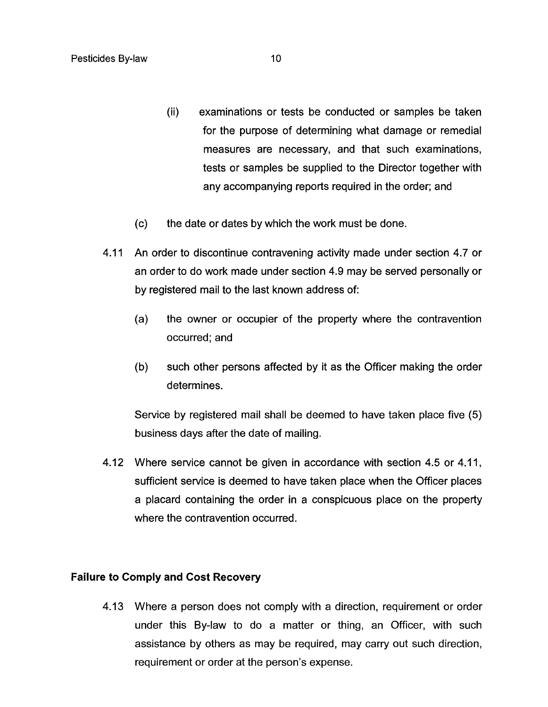- (ii) examinations or tests be conducted or samples be taken for the purpose of determining what damage or remedial measures are necessary, and that such examinations, tests or samples be supplied to the Director together with any accompanying reports required in the order; and
- (c) the date or dates by which the work must be done.
- 4.11 An order to discontinue contravening activity made under section 4.7 or an order to do work made under section 4.9 may be served personally or by registered mail to the last known address of:
	- (a) the owner or occupier of the property where the contravention occurred: and
	- (b) such other persons affected by it as the Officer making the order determines.

Service by registered mail shall be deemed to have taken place five (5) business days after the date of mailing.

4.12 Where service cannot be given in accordance with section 4.5 or 4.11, sufficient service is deemed to have taken place when the Officer places a placard containing the order in a conspicuous place on the property where the contravention occurred.

#### **Failure to Comply and Cost Recovery**

4.13 Where a person does not comply with a direction, requirement or order under this By-law to do a matter or thing, an Officer, with such assistance by others as may be required, may carry out such direction, requirement or order at the person's expense.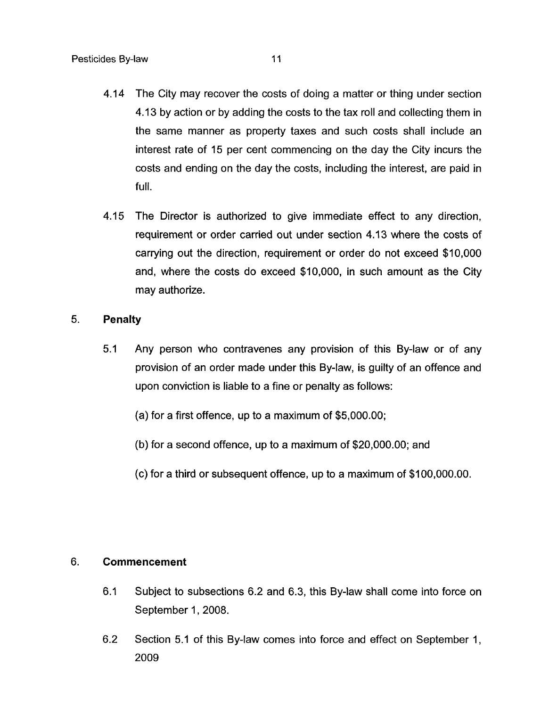- 4.14 The City may recover the costs of doing a matter or thing under section 4.13 by action or by adding the costs to the tax roll and collecting them in the same manner as property taxes and such costs shall include an interest rate of 15 per cent commencing on the day the City incurs the costs and ending on the day the costs, including the interest, are paid in full.
- 4.15 The Director is authorized to give immediate effect to any direction, requirement or order carried out under section 4.13 where the costs of carrying out the direction, requirement or order do not exceed \$10,000 and, where the costs do exceed \$10,000, in such amount as the City may authorize.

#### **5. Penalty**

- **5.1** Any person who contravenes any provision of this By-law or of any provision of an order made under this By-law, is guilty of an offence and upon conviction is liable to a fine or penalty as follows:
	- (a) for a first offence, up to a maximum of \$5,000.00;
	- (b) for a second offence, up to a maximum of \$20,000.00; and
	- (c) for a third or subsequent offence, up to a maximum of \$100,000.00.

#### 6. **Commencement**

- 6.1 Subject to subsections 6.2 and 6.3, this By-law shall come into force on September 1, 2008.
- 6.2 Section 5.1 of this By-law comes into force and effect on September 1, 2009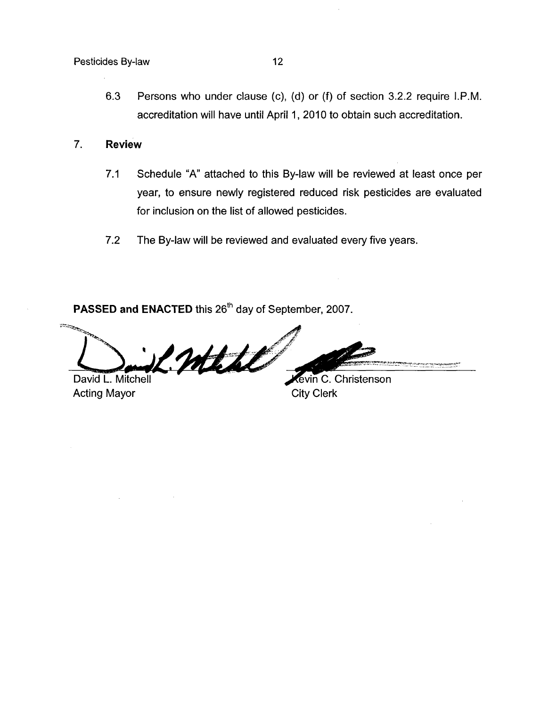Pesticides By-law 12

6.3 Persons who under clause (c), (d) or (f) of section 3.2.2 require I.P.M. accreditation will have until April 1, 2010 to obtain such accreditation.

### 7. **Review**

- 7.1 Schedule "A" attached to this By-law will be reviewed at least once per year, to ensure newly registered reduced risk pesticides are evaluated for inclusion on the list of allowed pesticides.
- 7.2 The By-law will be reviewed and evaluated every five years.

**PASSED and ENACTED** this 26'h day of September, 2007.

Mill **Company company and proprietation** David L. Mitchell

Acting Mayor City Clerk

Kevin C. Christenson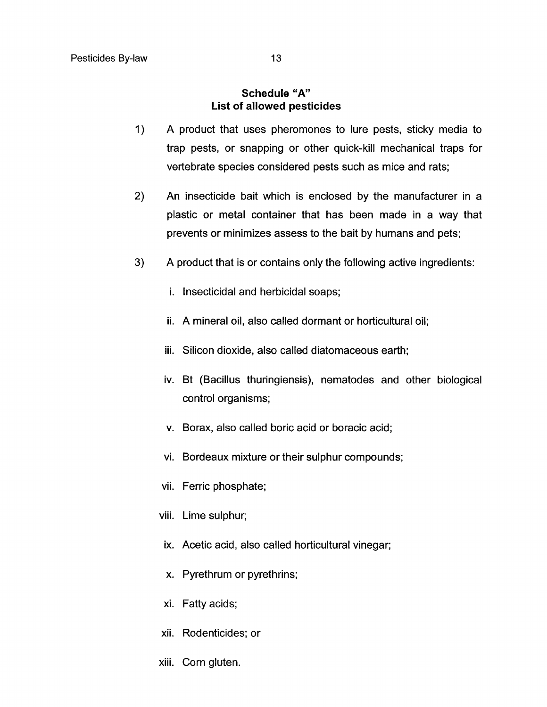#### **Schedule "A" List of allowed pesticides**

- $1)$ A product that uses pheromones to lure pests, sticky media to trap pests, or snapping or other quick-kill mechanical traps for vertebrate species considered pests such as mice and rats;
- 2) An insecticide bait which is enclosed by the manufacturer in a plastic or metal container that has been made in a way that prevents or minimizes assess to the bait by humans and pets;
- $3)$ A product that is or contains only the following active ingredients:
	- i. Insecticidal and herbicidal soaps;
	- ii. A mineral oil, also called dormant or horticultural oil;
	- iii. Silicon dioxide, also called diatomaceous earth;
	- iv. Bt (Bacillus thuringiensis), nematodes and other biological control organisms;
	- V. Borax, also called boric acid or boracic acid;
	- vi. Bordeaux mixture or their sulphur compounds;
	- vii. Ferric phosphate;
	- viii. Lime sulphur;
	- ix. Acetic acid, also called horticultural vinegar;
	- X. Pyrethrum or pyrethrins;
	- xi. Fatty acids;
	- xii. Rodenticides; or
	- xiii. Corn gluten.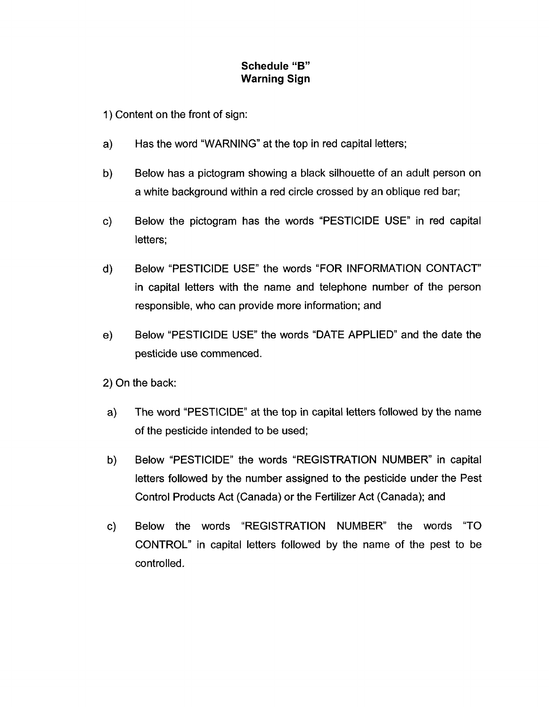# **Schedule "B" Warning Sign**

1 ) Content on the front of sign:

- Has the word "WARNING" at the top in red capital letters;  $a)$
- b) Below has a pictogram showing a black silhouette of an adult person on a white background within a red circle crossed by an oblique red bar;
- Below the pictogram has the words "PESTICIDE USE" in red capital  $c)$ letters;
- Below "PESTICIDE USE" the words "FOR INFORMATION CONTACT"  $\mathsf{d}$ in capital letters with the name and telephone number of the person responsible, who can provide more information; and
- Below "PESTICIDE USE" the words "DATE APPLIED" and the date the  $e)$ pesticide use commenced.

2) On the back:

- a) The word "PESTICIDE" at the top in capital letters followed by the name of the pesticide intended to be used;
- b) Below "PESTICIDE" the words "REGISTRATION NUMBER" in capital letters followed by the number assigned to the pesticide under the Pest Control Products Act (Canada) or the Fertilizer Act (Canada); and
- c) Below the words "REGISTRATION NUMBER" the words "TO CONTROL" in capital letters followed by the name of the pest to be controlled.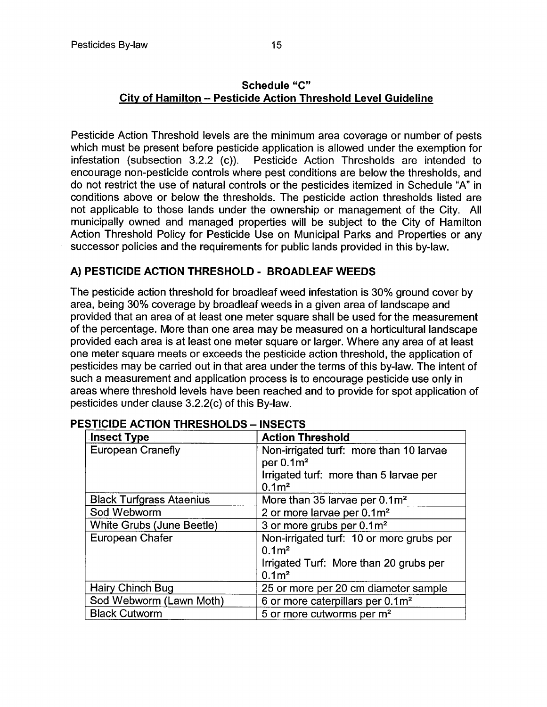# **Schedule "C" City of Hamilton** - **Pesticide Action Threshold Level Guideline**

Pesticide Action Threshold levels are the minimum area coverage or number of pests which must be present before pesticide application is allowed under the exemption for infestation (subsection 3.2.2 (c)). Pesticide Action Thresholds are intended to encourage non-pesticide controls where pest conditions are below the thresholds, and do not restrict the use of natural controls or the pesticides itemized in Schedule "A" in conditions above or below the thresholds. The pesticide action thresholds listed are not applicable to those lands under the ownership or management of the City. All municipally owned and managed properties will be subject to the City of Hamilton Action Threshold Policy for Pesticide Use on Municipal Parks and Properties or any successor policies and the requirements for public lands provided in this by-law.

# **A) PESTICIDE ACTION THRESHOLD** - **BROADLEAF WEEDS**

The pesticide action threshold for broadleaf weed infestation is 30% ground cover by area, being 30% coverage by broadleaf weeds in a given area of landscape and provided that an area of at least one meter square shall be used for the measurement of the percentage. More than one area may be measured on a horticultural landscape provided each area is at least one meter square or larger. Where any area of at least one meter square meets or exceeds the pesticide action threshold, the application of pesticides may be carried out in that area under the terms of this by-law. The intent of such a measurement and application process is to encourage pesticide use only in areas where threshold levels have been reached and to provide for spot application of pesticides under clause 3.2.2(c) of this By-law.

| <b>Insect Type</b>              | <b>Action Threshold</b>                                                                          |
|---------------------------------|--------------------------------------------------------------------------------------------------|
| <b>European Cranefly</b>        | Non-irrigated turf: more than 10 larvae<br>per $0.1m2$<br>Irrigated turf: more than 5 larvae per |
|                                 | 0.1 <sup>2</sup>                                                                                 |
| <b>Black Turfgrass Ataenius</b> | More than 35 larvae per 0.1m <sup>2</sup>                                                        |
| Sod Webworm                     | 2 or more larvae per 0.1m <sup>2</sup>                                                           |
| White Grubs (June Beetle)       | 3 or more grubs per 0.1m <sup>2</sup>                                                            |
| European Chafer                 | Non-irrigated turf: 10 or more grubs per<br>0.1 <sup>2</sup>                                     |
|                                 | Irrigated Turf: More than 20 grubs per<br>0.1 <sup>m</sup>                                       |
| Hairy Chinch Bug                | 25 or more per 20 cm diameter sample                                                             |
| Sod Webworm (Lawn Moth)         | 6 or more caterpillars per 0.1m <sup>2</sup>                                                     |
| <b>Black Cutworm</b>            | 5 or more cutworms per m <sup>2</sup>                                                            |

# **PESTICIDE ACTION THRESHOLDS - INSECTS**